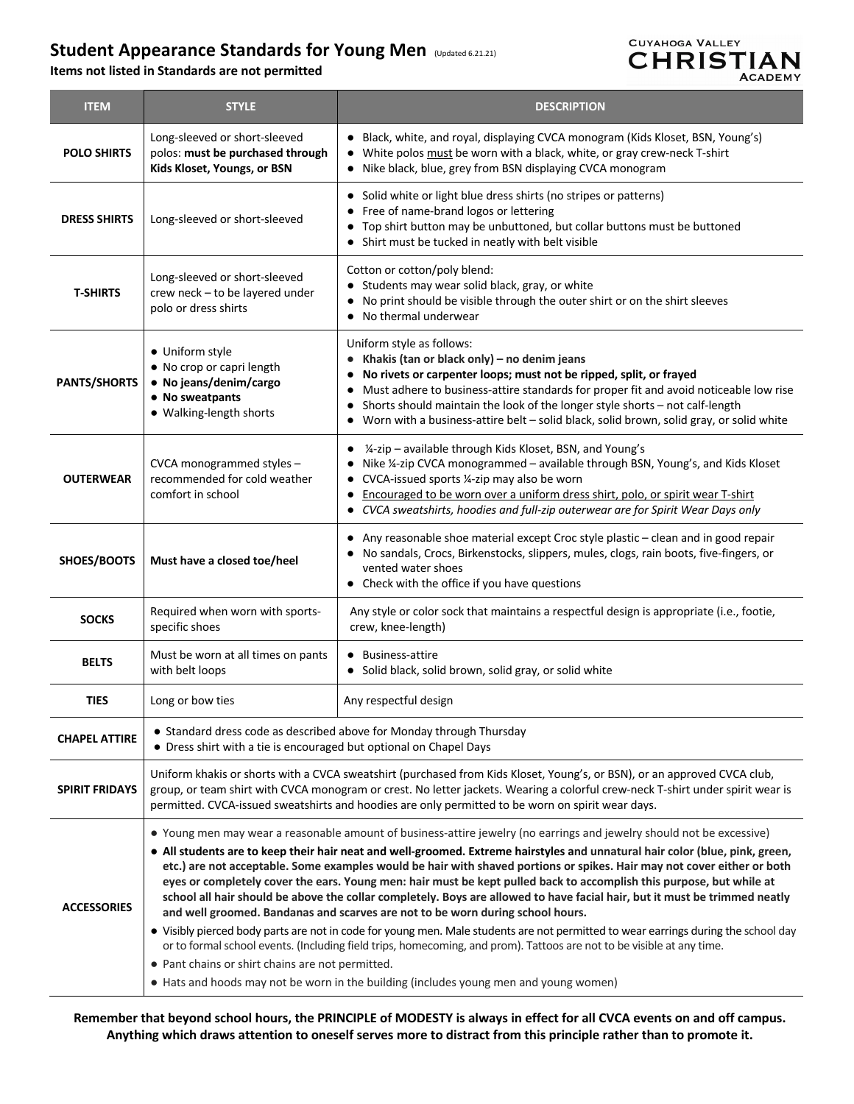## **Student Appearance Standards for Young Men** (Updated 6.21.21)

**Items not listed in Standards are not permitted** 



| <b>ITEM</b>           | <b>STYLE</b>                                                                                                                                                                                                                                                                                                                                                                                                                                                                                                                                                                                                                                                                                                                                                                                                                                                                                                                                                                                                                                                                                                                         | <b>DESCRIPTION</b>                                                                                                                                                                                                                                                                                                                                                                                                      |
|-----------------------|--------------------------------------------------------------------------------------------------------------------------------------------------------------------------------------------------------------------------------------------------------------------------------------------------------------------------------------------------------------------------------------------------------------------------------------------------------------------------------------------------------------------------------------------------------------------------------------------------------------------------------------------------------------------------------------------------------------------------------------------------------------------------------------------------------------------------------------------------------------------------------------------------------------------------------------------------------------------------------------------------------------------------------------------------------------------------------------------------------------------------------------|-------------------------------------------------------------------------------------------------------------------------------------------------------------------------------------------------------------------------------------------------------------------------------------------------------------------------------------------------------------------------------------------------------------------------|
| <b>POLO SHIRTS</b>    | Long-sleeved or short-sleeved<br>polos: must be purchased through<br>Kids Kloset, Youngs, or BSN                                                                                                                                                                                                                                                                                                                                                                                                                                                                                                                                                                                                                                                                                                                                                                                                                                                                                                                                                                                                                                     | • Black, white, and royal, displaying CVCA monogram (Kids Kloset, BSN, Young's)<br>• White polos must be worn with a black, white, or gray crew-neck T-shirt<br>• Nike black, blue, grey from BSN displaying CVCA monogram                                                                                                                                                                                              |
| <b>DRESS SHIRTS</b>   | Long-sleeved or short-sleeved                                                                                                                                                                                                                                                                                                                                                                                                                                                                                                                                                                                                                                                                                                                                                                                                                                                                                                                                                                                                                                                                                                        | • Solid white or light blue dress shirts (no stripes or patterns)<br>Free of name-brand logos or lettering<br>• Top shirt button may be unbuttoned, but collar buttons must be buttoned<br>Shirt must be tucked in neatly with belt visible                                                                                                                                                                             |
| <b>T-SHIRTS</b>       | Long-sleeved or short-sleeved<br>crew neck - to be layered under<br>polo or dress shirts                                                                                                                                                                                                                                                                                                                                                                                                                                                                                                                                                                                                                                                                                                                                                                                                                                                                                                                                                                                                                                             | Cotton or cotton/poly blend:<br>• Students may wear solid black, gray, or white<br>No print should be visible through the outer shirt or on the shirt sleeves<br>No thermal underwear                                                                                                                                                                                                                                   |
| <b>PANTS/SHORTS</b>   | • Uniform style<br>• No crop or capri length<br>• No jeans/denim/cargo<br>• No sweatpants<br>• Walking-length shorts                                                                                                                                                                                                                                                                                                                                                                                                                                                                                                                                                                                                                                                                                                                                                                                                                                                                                                                                                                                                                 | Uniform style as follows:<br>Khakis (tan or black only) - no denim jeans<br>No rivets or carpenter loops; must not be ripped, split, or frayed<br>Must adhere to business-attire standards for proper fit and avoid noticeable low rise<br>Shorts should maintain the look of the longer style shorts - not calf-length<br>٠<br>Worn with a business-attire belt - solid black, solid brown, solid gray, or solid white |
| <b>OUTERWEAR</b>      | CVCA monogrammed styles -<br>recommended for cold weather<br>comfort in school                                                                                                                                                                                                                                                                                                                                                                                                                                                                                                                                                                                                                                                                                                                                                                                                                                                                                                                                                                                                                                                       | 1/4-zip – available through Kids Kloset, BSN, and Young's<br>Nike ¼-zip CVCA monogrammed - available through BSN, Young's, and Kids Kloset<br>CVCA-issued sports 1/4-zip may also be worn<br>Encouraged to be worn over a uniform dress shirt, polo, or spirit wear T-shirt<br>$\bullet$<br>• CVCA sweatshirts, hoodies and full-zip outerwear are for Spirit Wear Days only                                            |
| SHOES/BOOTS           | Must have a closed toe/heel                                                                                                                                                                                                                                                                                                                                                                                                                                                                                                                                                                                                                                                                                                                                                                                                                                                                                                                                                                                                                                                                                                          | • Any reasonable shoe material except Croc style plastic - clean and in good repair<br>No sandals, Crocs, Birkenstocks, slippers, mules, clogs, rain boots, five-fingers, or<br>vented water shoes<br>• Check with the office if you have questions                                                                                                                                                                     |
| <b>SOCKS</b>          | Required when worn with sports-<br>specific shoes                                                                                                                                                                                                                                                                                                                                                                                                                                                                                                                                                                                                                                                                                                                                                                                                                                                                                                                                                                                                                                                                                    | Any style or color sock that maintains a respectful design is appropriate (i.e., footie,<br>crew, knee-length)                                                                                                                                                                                                                                                                                                          |
| <b>BELTS</b>          | Must be worn at all times on pants<br>with belt loops                                                                                                                                                                                                                                                                                                                                                                                                                                                                                                                                                                                                                                                                                                                                                                                                                                                                                                                                                                                                                                                                                | • Business-attire<br>Solid black, solid brown, solid gray, or solid white                                                                                                                                                                                                                                                                                                                                               |
| <b>TIES</b>           | Long or bow ties                                                                                                                                                                                                                                                                                                                                                                                                                                                                                                                                                                                                                                                                                                                                                                                                                                                                                                                                                                                                                                                                                                                     | Any respectful design                                                                                                                                                                                                                                                                                                                                                                                                   |
| <b>CHAPEL ATTIRE</b>  | • Standard dress code as described above for Monday through Thursday<br>• Dress shirt with a tie is encouraged but optional on Chapel Days                                                                                                                                                                                                                                                                                                                                                                                                                                                                                                                                                                                                                                                                                                                                                                                                                                                                                                                                                                                           |                                                                                                                                                                                                                                                                                                                                                                                                                         |
| <b>SPIRIT FRIDAYS</b> | Uniform khakis or shorts with a CVCA sweatshirt (purchased from Kids Kloset, Young's, or BSN), or an approved CVCA club,<br>group, or team shirt with CVCA monogram or crest. No letter jackets. Wearing a colorful crew-neck T-shirt under spirit wear is<br>permitted. CVCA-issued sweatshirts and hoodies are only permitted to be worn on spirit wear days.                                                                                                                                                                                                                                                                                                                                                                                                                                                                                                                                                                                                                                                                                                                                                                      |                                                                                                                                                                                                                                                                                                                                                                                                                         |
| <b>ACCESSORIES</b>    | • Young men may wear a reasonable amount of business-attire jewelry (no earrings and jewelry should not be excessive)<br>. All students are to keep their hair neat and well-groomed. Extreme hairstyles and unnatural hair color (blue, pink, green,<br>etc.) are not acceptable. Some examples would be hair with shaved portions or spikes. Hair may not cover either or both<br>eyes or completely cover the ears. Young men: hair must be kept pulled back to accomplish this purpose, but while at<br>school all hair should be above the collar completely. Boys are allowed to have facial hair, but it must be trimmed neatly<br>and well groomed. Bandanas and scarves are not to be worn during school hours.<br>• Visibly pierced body parts are not in code for young men. Male students are not permitted to wear earrings during the school day<br>or to formal school events. (Including field trips, homecoming, and prom). Tattoos are not to be visible at any time.<br>• Pant chains or shirt chains are not permitted.<br>• Hats and hoods may not be worn in the building (includes young men and young women) |                                                                                                                                                                                                                                                                                                                                                                                                                         |

**Remember that beyond school hours, the PRINCIPLE of MODESTY is always in effect for all CVCA events on and off campus. Anything which draws attention to oneself serves more to distract from this principle rather than to promote it.**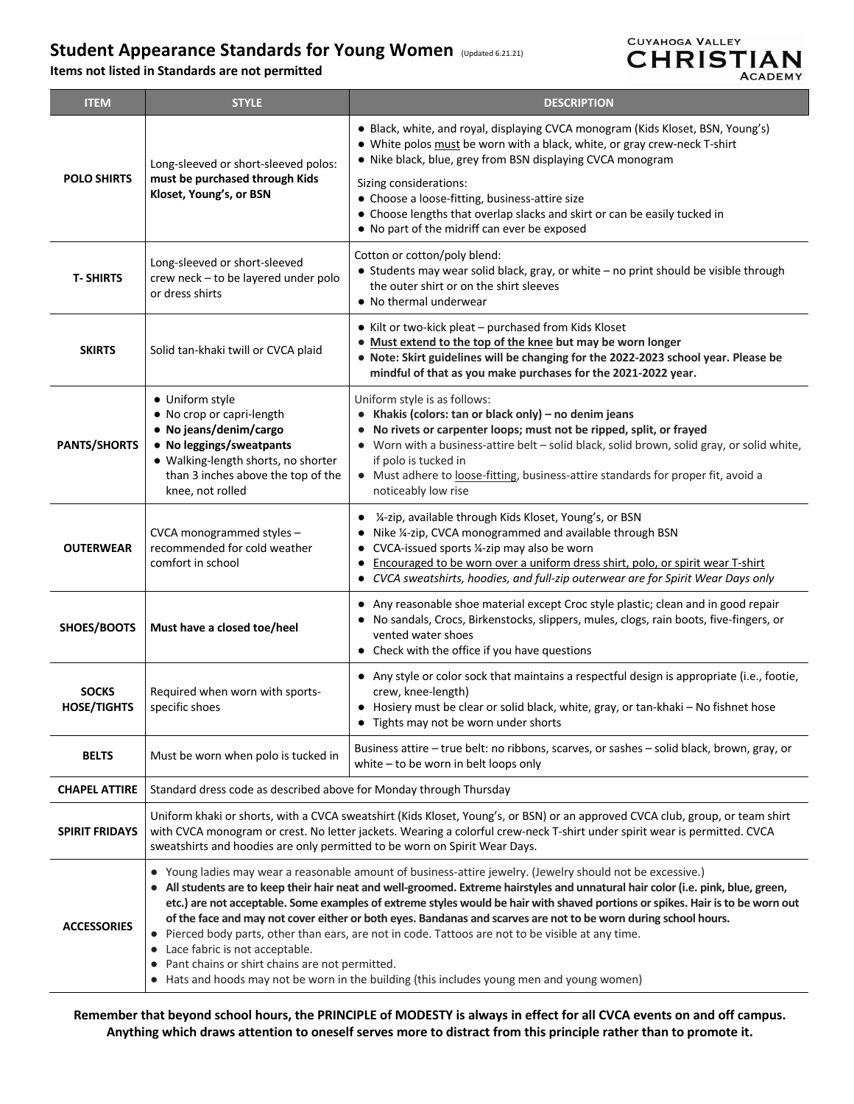# **Student Appearance Standards for Young Women** (Updated 6.21.21)

**Items not listed in Standards are not permitted**



| <b>ITEM</b>                        | <b>STYLE</b>                                                                                                                                                                                                                                                                                                                                                                                                                                                                                                                                                                                                                                                                                                                                                                                     | <b>DESCRIPTION</b>                                                                                                                                                                                                                                                                                                                                                                          |
|------------------------------------|--------------------------------------------------------------------------------------------------------------------------------------------------------------------------------------------------------------------------------------------------------------------------------------------------------------------------------------------------------------------------------------------------------------------------------------------------------------------------------------------------------------------------------------------------------------------------------------------------------------------------------------------------------------------------------------------------------------------------------------------------------------------------------------------------|---------------------------------------------------------------------------------------------------------------------------------------------------------------------------------------------------------------------------------------------------------------------------------------------------------------------------------------------------------------------------------------------|
| <b>POLO SHIRTS</b>                 | Long-sleeved or short-sleeved polos:<br>must be purchased through Kids<br>Kloset, Young's, or BSN                                                                                                                                                                                                                                                                                                                                                                                                                                                                                                                                                                                                                                                                                                | · Black, white, and royal, displaying CVCA monogram (Kids Kloset, BSN, Young's)<br>• White polos must be worn with a black, white, or gray crew-neck T-shirt<br>. Nike black, blue, grey from BSN displaying CVCA monogram                                                                                                                                                                  |
|                                    |                                                                                                                                                                                                                                                                                                                                                                                                                                                                                                                                                                                                                                                                                                                                                                                                  | Sizing considerations:<br>• Choose a loose-fitting, business-attire size<br>• Choose lengths that overlap slacks and skirt or can be easily tucked in<br>• No part of the midriff can ever be exposed                                                                                                                                                                                       |
| <b>T-SHIRTS</b>                    | Long-sleeved or short-sleeved<br>crew neck - to be layered under polo<br>or dress shirts                                                                                                                                                                                                                                                                                                                                                                                                                                                                                                                                                                                                                                                                                                         | Cotton or cotton/poly blend:<br>• Students may wear solid black, gray, or white - no print should be visible through<br>the outer shirt or on the shirt sleeves<br>• No thermal underwear                                                                                                                                                                                                   |
| <b>SKIRTS</b>                      | Solid tan-khaki twill or CVCA plaid                                                                                                                                                                                                                                                                                                                                                                                                                                                                                                                                                                                                                                                                                                                                                              | • Kilt or two-kick pleat – purchased from Kids Kloset<br>. Must extend to the top of the knee but may be worn longer<br>• Note: Skirt guidelines will be changing for the 2022-2023 school year. Please be<br>mindful of that as you make purchases for the 2021-2022 year.                                                                                                                 |
| <b>PANTS/SHORTS</b>                | • Uniform style<br>• No crop or capri-length<br>• No jeans/denim/cargo<br>• No leggings/sweatpants<br>· Walking-length shorts, no shorter<br>than 3 inches above the top of the<br>knee, not rolled                                                                                                                                                                                                                                                                                                                                                                                                                                                                                                                                                                                              | Uniform style is as follows:<br>• Khakis (colors: tan or black only) - no denim jeans<br>No rivets or carpenter loops; must not be ripped, split, or frayed<br>Worn with a business-attire belt - solid black, solid brown, solid gray, or solid white,<br>if polo is tucked in<br>• Must adhere to loose-fitting, business-attire standards for proper fit, avoid a<br>noticeably low rise |
| <b>OUTERWEAR</b>                   | CVCA monogrammed styles -<br>recommended for cold weather<br>comfort in school                                                                                                                                                                                                                                                                                                                                                                                                                                                                                                                                                                                                                                                                                                                   | 1/4-zip, available through Kids Kloset, Young's, or BSN<br>٠<br>Nike 1/4-zip, CVCA monogrammed and available through BSN<br>CVCA-issued sports 1/4-zip may also be worn<br>Encouraged to be worn over a uniform dress shirt, polo, or spirit wear T-shirt<br>CVCA sweatshirts, hoodies, and full-zip outerwear are for Spirit Wear Days only<br>$\bullet$                                   |
| SHOES/BOOTS                        | Must have a closed toe/heel                                                                                                                                                                                                                                                                                                                                                                                                                                                                                                                                                                                                                                                                                                                                                                      | Any reasonable shoe material except Croc style plastic; clean and in good repair<br>No sandals, Crocs, Birkenstocks, slippers, mules, clogs, rain boots, five-fingers, or<br>vented water shoes<br>• Check with the office if you have questions                                                                                                                                            |
| <b>SOCKS</b><br><b>HOSE/TIGHTS</b> | Required when worn with sports-<br>specific shoes                                                                                                                                                                                                                                                                                                                                                                                                                                                                                                                                                                                                                                                                                                                                                | • Any style or color sock that maintains a respectful design is appropriate (i.e., footie,<br>crew, knee-length)<br>Hosiery must be clear or solid black, white, gray, or tan-khaki - No fishnet hose<br>$\bullet$<br>• Tights may not be worn under shorts                                                                                                                                 |
| <b>BELTS</b>                       | Must be worn when polo is tucked in                                                                                                                                                                                                                                                                                                                                                                                                                                                                                                                                                                                                                                                                                                                                                              | Business attire - true belt: no ribbons, scarves, or sashes - solid black, brown, gray, or<br>white $-$ to be worn in belt loops only                                                                                                                                                                                                                                                       |
| <b>CHAPEL ATTIRE</b>               | Standard dress code as described above for Monday through Thursday                                                                                                                                                                                                                                                                                                                                                                                                                                                                                                                                                                                                                                                                                                                               |                                                                                                                                                                                                                                                                                                                                                                                             |
| <b>SPIRIT FRIDAYS</b>              | Uniform khaki or shorts, with a CVCA sweatshirt (Kids Kloset, Young's, or BSN) or an approved CVCA club, group, or team shirt<br>with CVCA monogram or crest. No letter jackets. Wearing a colorful crew-neck T-shirt under spirit wear is permitted. CVCA<br>sweatshirts and hoodies are only permitted to be worn on Spirit Wear Days.                                                                                                                                                                                                                                                                                                                                                                                                                                                         |                                                                                                                                                                                                                                                                                                                                                                                             |
| <b>ACCESSORIES</b>                 | • Young ladies may wear a reasonable amount of business-attire jewelry. (Jewelry should not be excessive.)<br>• All students are to keep their hair neat and well-groomed. Extreme hairstyles and unnatural hair color (i.e. pink, blue, green,<br>etc.) are not acceptable. Some examples of extreme styles would be hair with shaved portions or spikes. Hair is to be worn out<br>of the face and may not cover either or both eyes. Bandanas and scarves are not to be worn during school hours.<br>• Pierced body parts, other than ears, are not in code. Tattoos are not to be visible at any time.<br>• Lace fabric is not acceptable.<br>• Pant chains or shirt chains are not permitted.<br>• Hats and hoods may not be worn in the building (this includes young men and young women) |                                                                                                                                                                                                                                                                                                                                                                                             |

**Remember that beyond school hours, the PRINCIPLE of MODESTY is always in effect for all CVCA events on and off campus. Anything which draws attention to oneself serves more to distract from this principle rather than to promote it.**